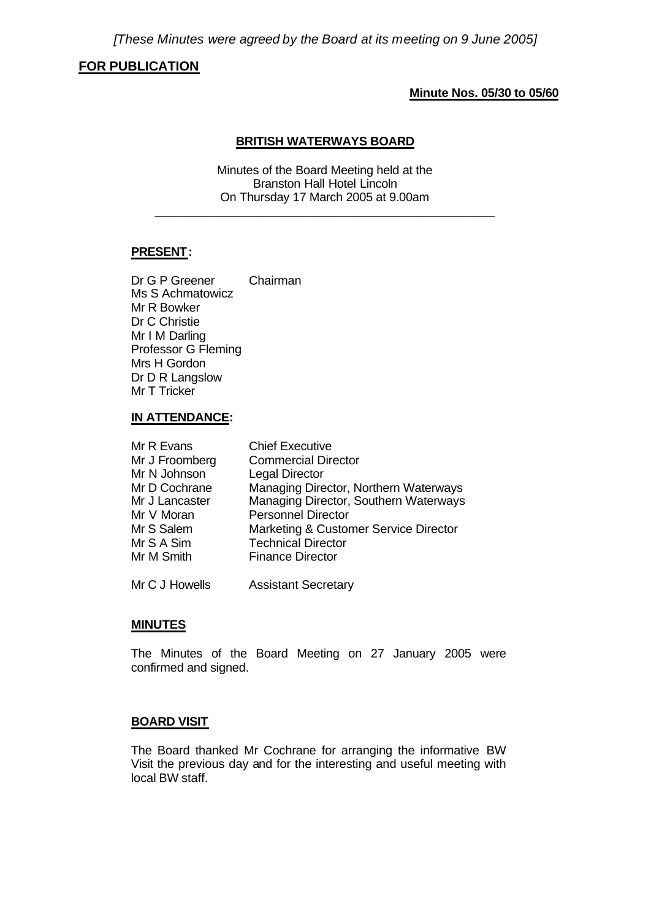# **FOR PUBLICATION**

### **Minute Nos. 05/30 to 05/60**

### **BRITISH WATERWAYS BOARD**

Minutes of the Board Meeting held at the Branston Hall Hotel Lincoln On Thursday 17 March 2005 at 9.00am

\_\_\_\_\_\_\_\_\_\_\_\_\_\_\_\_\_\_\_\_\_\_\_\_\_\_\_\_\_\_\_\_\_\_\_\_\_\_\_\_\_\_\_\_\_\_\_\_\_\_\_

### **PRESENT:**

Dr G P Greener Chairman Ms S Achmatowicz Mr R Bowker Dr C Christie Mr I M Darling Professor G Fleming Mrs H Gordon Dr D R Langslow Mr T Tricker

#### **IN ATTENDANCE:**

| Mr R Evans     | <b>Chief Executive</b>                |
|----------------|---------------------------------------|
| Mr J Froomberg | <b>Commercial Director</b>            |
| Mr N Johnson   | <b>Legal Director</b>                 |
| Mr D Cochrane  | Managing Director, Northern Waterways |
| Mr J Lancaster | Managing Director, Southern Waterways |
| Mr V Moran     | <b>Personnel Director</b>             |
| Mr S Salem     | Marketing & Customer Service Director |
| Mr S A Sim     | <b>Technical Director</b>             |
| Mr M Smith     | <b>Finance Director</b>               |
|                |                                       |

Mr C J Howells Assistant Secretary

#### **MINUTES**

The Minutes of the Board Meeting on 27 January 2005 were confirmed and signed.

# **BOARD VISIT**

The Board thanked Mr Cochrane for arranging the informative BW Visit the previous day and for the interesting and useful meeting with local BW staff.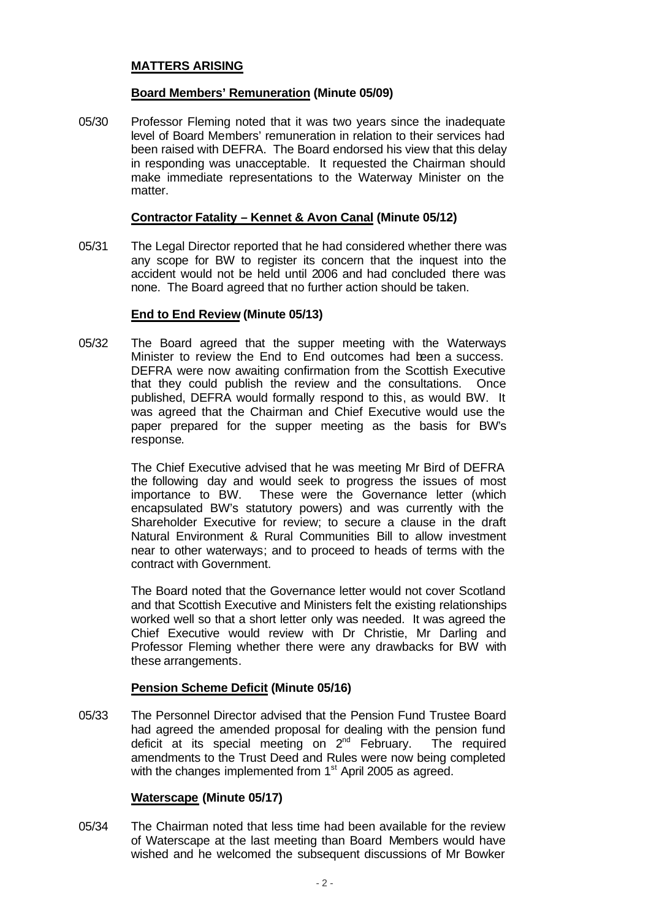# **MATTERS ARISING**

### **Board Members' Remuneration (Minute 05/09)**

05/30 Professor Fleming noted that it was two years since the inadequate level of Board Members' remuneration in relation to their services had been raised with DEFRA. The Board endorsed his view that this delay in responding was unacceptable. It requested the Chairman should make immediate representations to the Waterway Minister on the matter.

### **Contractor Fatality – Kennet & Avon Canal (Minute 05/12)**

05/31 The Legal Director reported that he had considered whether there was any scope for BW to register its concern that the inquest into the accident would not be held until 2006 and had concluded there was none. The Board agreed that no further action should be taken.

### **End to End Review (Minute 05/13)**

05/32 The Board agreed that the supper meeting with the Waterways Minister to review the End to End outcomes had been a success. DEFRA were now awaiting confirmation from the Scottish Executive that they could publish the review and the consultations. Once published, DEFRA would formally respond to this, as would BW. It was agreed that the Chairman and Chief Executive would use the paper prepared for the supper meeting as the basis for BW's response.

> The Chief Executive advised that he was meeting Mr Bird of DEFRA the following day and would seek to progress the issues of most importance to BW. These were the Governance letter (which encapsulated BW's statutory powers) and was currently with the Shareholder Executive for review; to secure a clause in the draft Natural Environment & Rural Communities Bill to allow investment near to other waterways; and to proceed to heads of terms with the contract with Government.

> The Board noted that the Governance letter would not cover Scotland and that Scottish Executive and Ministers felt the existing relationships worked well so that a short letter only was needed. It was agreed the Chief Executive would review with Dr Christie, Mr Darling and Professor Fleming whether there were any drawbacks for BW with these arrangements.

## **Pension Scheme Deficit (Minute 05/16)**

05/33 The Personnel Director advised that the Pension Fund Trustee Board had agreed the amended proposal for dealing with the pension fund deficit at its special meeting on  $2^{nd}$  February. The required amendments to the Trust Deed and Rules were now being completed with the changes implemented from 1<sup>st</sup> April 2005 as agreed.

## **Waterscape (Minute 05/17)**

05/34 The Chairman noted that less time had been available for the review of Waterscape at the last meeting than Board Members would have wished and he welcomed the subsequent discussions of Mr Bowker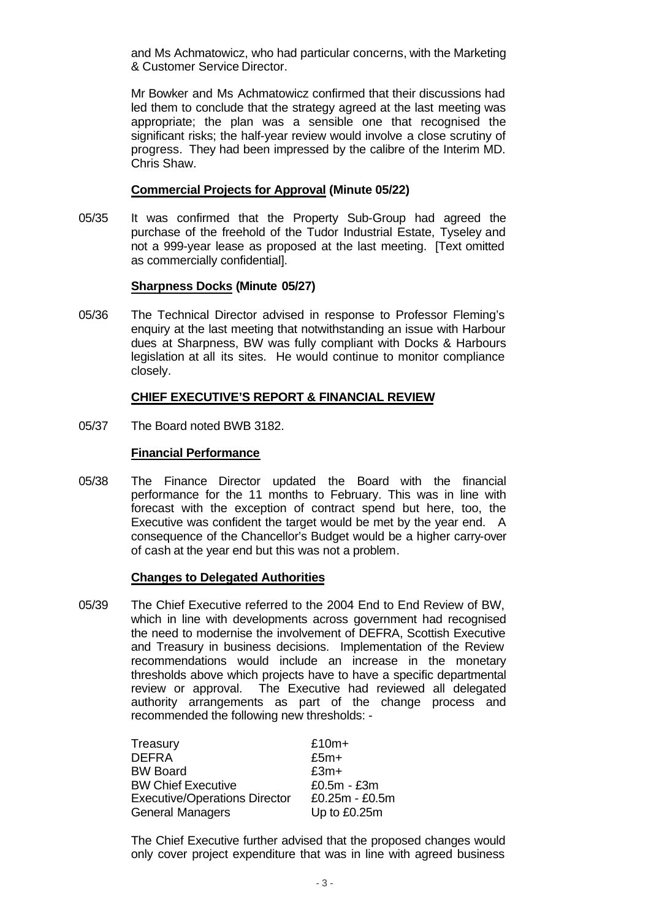and Ms Achmatowicz, who had particular concerns, with the Marketing & Customer Service Director.

Mr Bowker and Ms Achmatowicz confirmed that their discussions had led them to conclude that the strategy agreed at the last meeting was appropriate; the plan was a sensible one that recognised the significant risks; the half-year review would involve a close scrutiny of progress. They had been impressed by the calibre of the Interim MD. Chris Shaw.

### **Commercial Projects for Approval (Minute 05/22)**

05/35 It was confirmed that the Property Sub-Group had agreed the purchase of the freehold of the Tudor Industrial Estate, Tyseley and not a 999-year lease as proposed at the last meeting. [Text omitted as commercially confidential].

## **Sharpness Docks (Minute 05/27)**

05/36 The Technical Director advised in response to Professor Fleming's enquiry at the last meeting that notwithstanding an issue with Harbour dues at Sharpness, BW was fully compliant with Docks & Harbours legislation at all its sites. He would continue to monitor compliance closely.

### **CHIEF EXECUTIVE'S REPORT & FINANCIAL REVIEW**

05/37 The Board noted BWB 3182.

### **Financial Performance**

05/38 The Finance Director updated the Board with the financial performance for the 11 months to February. This was in line with forecast with the exception of contract spend but here, too, the Executive was confident the target would be met by the year end. A consequence of the Chancellor's Budget would be a higher carry-over of cash at the year end but this was not a problem.

#### **Changes to Delegated Authorities**

05/39 The Chief Executive referred to the 2004 End to End Review of BW, which in line with developments across government had recognised the need to modernise the involvement of DEFRA, Scottish Executive and Treasury in business decisions. Implementation of the Review recommendations would include an increase in the monetary thresholds above which projects have to have a specific departmental review or approval. The Executive had reviewed all delegated authority arrangements as part of the change process and recommended the following new thresholds: -

| Treasury                             | $£10m+$        |
|--------------------------------------|----------------|
| <b>DEFRA</b>                         | $£5m+$         |
| <b>BW Board</b>                      | $£3m+$         |
| <b>BW Chief Executive</b>            | $£0.5m - £3m$  |
| <b>Executive/Operations Director</b> | £0.25m - £0.5m |
| General Managers                     | Up to £0.25m   |

The Chief Executive further advised that the proposed changes would only cover project expenditure that was in line with agreed business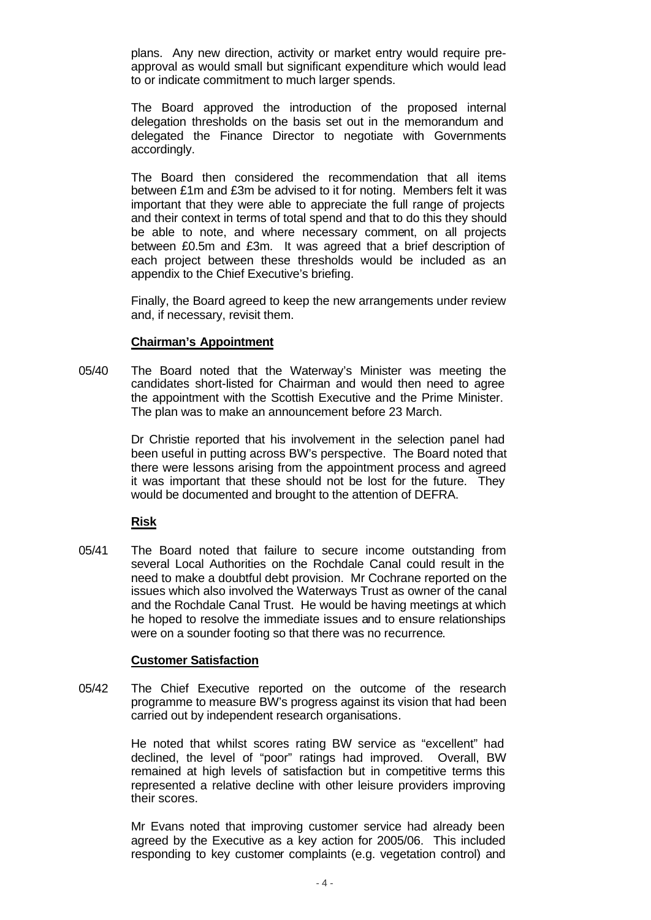plans. Any new direction, activity or market entry would require preapproval as would small but significant expenditure which would lead to or indicate commitment to much larger spends.

The Board approved the introduction of the proposed internal delegation thresholds on the basis set out in the memorandum and delegated the Finance Director to negotiate with Governments accordingly.

The Board then considered the recommendation that all items between £1m and £3m be advised to it for noting. Members felt it was important that they were able to appreciate the full range of projects and their context in terms of total spend and that to do this they should be able to note, and where necessary comment, on all projects between £0.5m and £3m. It was agreed that a brief description of each project between these thresholds would be included as an appendix to the Chief Executive's briefing.

Finally, the Board agreed to keep the new arrangements under review and, if necessary, revisit them.

### **Chairman's Appointment**

05/40 The Board noted that the Waterway's Minister was meeting the candidates short-listed for Chairman and would then need to agree the appointment with the Scottish Executive and the Prime Minister. The plan was to make an announcement before 23 March.

> Dr Christie reported that his involvement in the selection panel had been useful in putting across BW's perspective. The Board noted that there were lessons arising from the appointment process and agreed it was important that these should not be lost for the future. They would be documented and brought to the attention of DEFRA.

## **Risk**

05/41 The Board noted that failure to secure income outstanding from several Local Authorities on the Rochdale Canal could result in the need to make a doubtful debt provision. Mr Cochrane reported on the issues which also involved the Waterways Trust as owner of the canal and the Rochdale Canal Trust. He would be having meetings at which he hoped to resolve the immediate issues and to ensure relationships were on a sounder footing so that there was no recurrence.

#### **Customer Satisfaction**

05/42 The Chief Executive reported on the outcome of the research programme to measure BW's progress against its vision that had been carried out by independent research organisations.

> He noted that whilst scores rating BW service as "excellent" had declined, the level of "poor" ratings had improved. Overall, BW remained at high levels of satisfaction but in competitive terms this represented a relative decline with other leisure providers improving their scores.

> Mr Evans noted that improving customer service had already been agreed by the Executive as a key action for 2005/06. This included responding to key customer complaints (e.g. vegetation control) and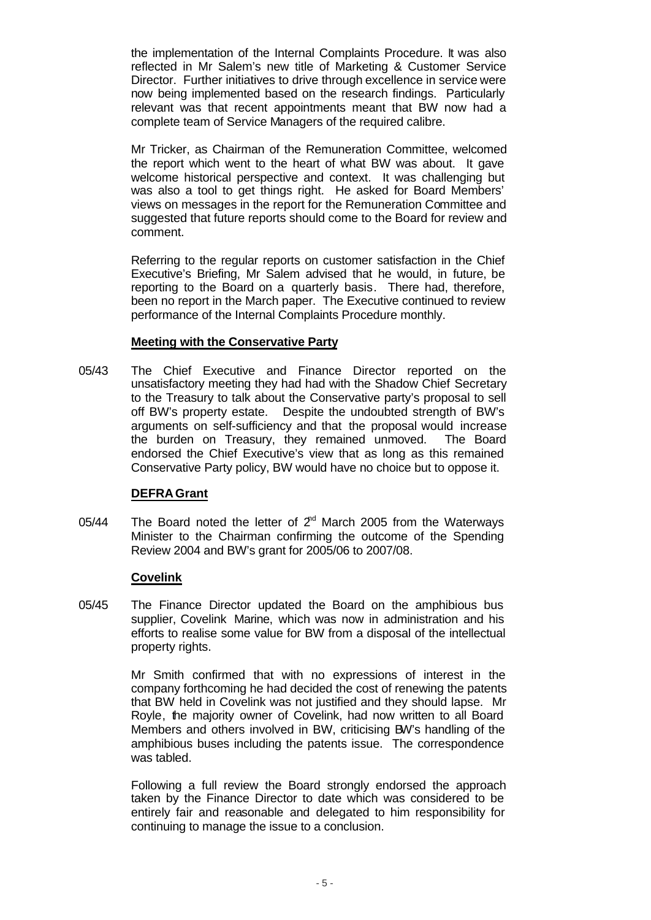the implementation of the Internal Complaints Procedure. It was also reflected in Mr Salem's new title of Marketing & Customer Service Director. Further initiatives to drive through excellence in service were now being implemented based on the research findings. Particularly relevant was that recent appointments meant that BW now had a complete team of Service Managers of the required calibre.

Mr Tricker, as Chairman of the Remuneration Committee, welcomed the report which went to the heart of what BW was about. It gave welcome historical perspective and context. It was challenging but was also a tool to get things right. He asked for Board Members' views on messages in the report for the Remuneration Committee and suggested that future reports should come to the Board for review and comment.

Referring to the regular reports on customer satisfaction in the Chief Executive's Briefing, Mr Salem advised that he would, in future, be reporting to the Board on a quarterly basis. There had, therefore, been no report in the March paper. The Executive continued to review performance of the Internal Complaints Procedure monthly.

## **Meeting with the Conservative Party**

05/43 The Chief Executive and Finance Director reported on the unsatisfactory meeting they had had with the Shadow Chief Secretary to the Treasury to talk about the Conservative party's proposal to sell off BW's property estate. Despite the undoubted strength of BW's arguments on self-sufficiency and that the proposal would increase the burden on Treasury, they remained unmoved. The Board endorsed the Chief Executive's view that as long as this remained Conservative Party policy, BW would have no choice but to oppose it.

## **DEFRA Grant**

05/44 The Board noted the letter of  $2<sup>rd</sup>$  March 2005 from the Waterways Minister to the Chairman confirming the outcome of the Spending Review 2004 and BW's grant for 2005/06 to 2007/08.

#### **Covelink**

05/45 The Finance Director updated the Board on the amphibious bus supplier, Covelink Marine, which was now in administration and his efforts to realise some value for BW from a disposal of the intellectual property rights.

> Mr Smith confirmed that with no expressions of interest in the company forthcoming he had decided the cost of renewing the patents that BW held in Covelink was not justified and they should lapse. Mr Royle, the majority owner of Covelink, had now written to all Board Members and others involved in BW, criticising BW's handling of the amphibious buses including the patents issue. The correspondence was tabled.

> Following a full review the Board strongly endorsed the approach taken by the Finance Director to date which was considered to be entirely fair and reasonable and delegated to him responsibility for continuing to manage the issue to a conclusion.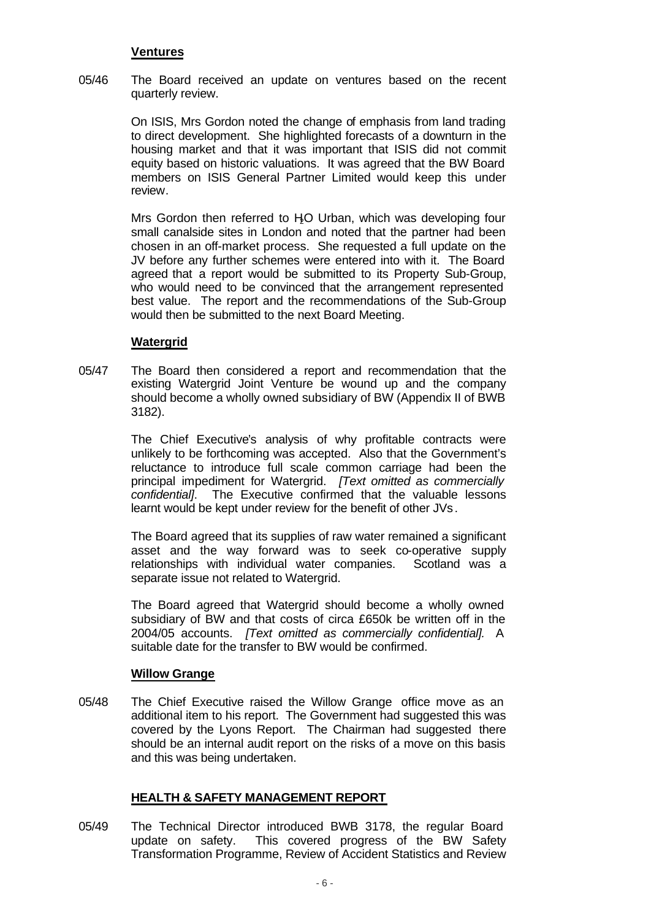## **Ventures**

05/46 The Board received an update on ventures based on the recent quarterly review.

> On ISIS, Mrs Gordon noted the change of emphasis from land trading to direct development. She highlighted forecasts of a downturn in the housing market and that it was important that ISIS did not commit equity based on historic valuations. It was agreed that the BW Board members on ISIS General Partner Limited would keep this under review.

> Mrs Gordon then referred to HO Urban, which was developing four small canalside sites in London and noted that the partner had been chosen in an off-market process. She requested a full update on the JV before any further schemes were entered into with it. The Board agreed that a report would be submitted to its Property Sub-Group, who would need to be convinced that the arrangement represented best value. The report and the recommendations of the Sub-Group would then be submitted to the next Board Meeting.

### **Watergrid**

05/47 The Board then considered a report and recommendation that the existing Watergrid Joint Venture be wound up and the company should become a wholly owned subsidiary of BW (Appendix II of BWB 3182).

> The Chief Executive's analysis of why profitable contracts were unlikely to be forthcoming was accepted. Also that the Government's reluctance to introduce full scale common carriage had been the principal impediment for Watergrid. *[Text omitted as commercially confidential]*. The Executive confirmed that the valuable lessons learnt would be kept under review for the benefit of other JVs.

> The Board agreed that its supplies of raw water remained a significant asset and the way forward was to seek co-operative supply relationships with individual water companies. Scotland was a separate issue not related to Watergrid.

> The Board agreed that Watergrid should become a wholly owned subsidiary of BW and that costs of circa £650k be written off in the 2004/05 accounts. *[Text omitted as commercially confidential].* A suitable date for the transfer to BW would be confirmed.

#### **Willow Grange**

05/48 The Chief Executive raised the Willow Grange office move as an additional item to his report. The Government had suggested this was covered by the Lyons Report. The Chairman had suggested there should be an internal audit report on the risks of a move on this basis and this was being undertaken.

## **HEALTH & SAFETY MANAGEMENT REPORT**

05/49 The Technical Director introduced BWB 3178, the regular Board update on safety. This covered progress of the BW Safety Transformation Programme, Review of Accident Statistics and Review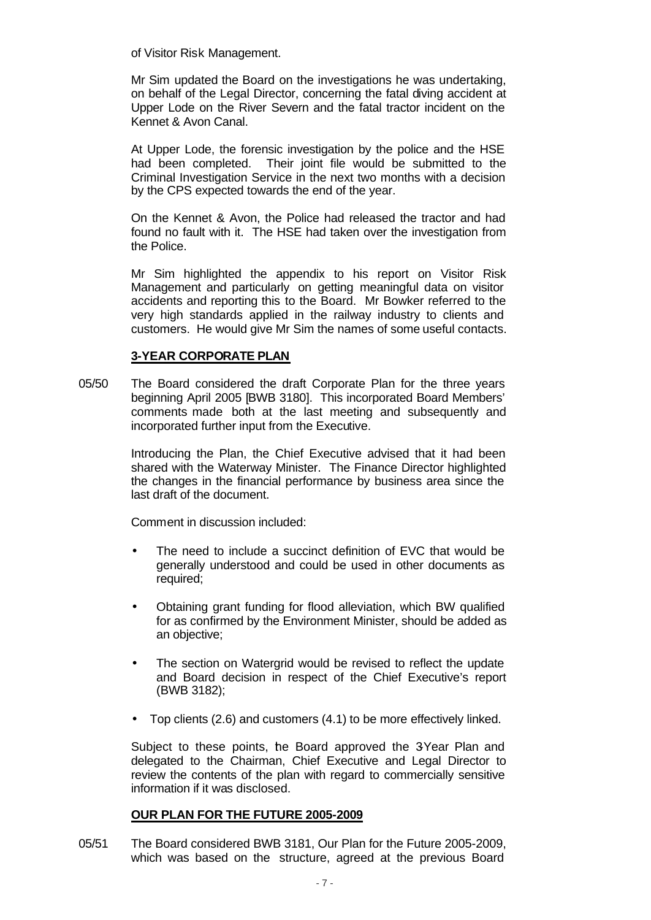of Visitor Risk Management.

Mr Sim updated the Board on the investigations he was undertaking, on behalf of the Legal Director, concerning the fatal diving accident at Upper Lode on the River Severn and the fatal tractor incident on the Kennet & Avon Canal.

At Upper Lode, the forensic investigation by the police and the HSE had been completed. Their joint file would be submitted to the Criminal Investigation Service in the next two months with a decision by the CPS expected towards the end of the year.

On the Kennet & Avon, the Police had released the tractor and had found no fault with it. The HSE had taken over the investigation from the Police.

Mr Sim highlighted the appendix to his report on Visitor Risk Management and particularly on getting meaningful data on visitor accidents and reporting this to the Board. Mr Bowker referred to the very high standards applied in the railway industry to clients and customers. He would give Mr Sim the names of some useful contacts.

## **3-YEAR CORPORATE PLAN**

05/50 The Board considered the draft Corporate Plan for the three years beginning April 2005 [BWB 3180]. This incorporated Board Members' comments made both at the last meeting and subsequently and incorporated further input from the Executive.

> Introducing the Plan, the Chief Executive advised that it had been shared with the Waterway Minister. The Finance Director highlighted the changes in the financial performance by business area since the last draft of the document.

Comment in discussion included:

- The need to include a succinct definition of EVC that would be generally understood and could be used in other documents as required;
- Obtaining grant funding for flood alleviation, which BW qualified for as confirmed by the Environment Minister, should be added as an objective;
- The section on Watergrid would be revised to reflect the update and Board decision in respect of the Chief Executive's report (BWB 3182);
- Top clients (2.6) and customers (4.1) to be more effectively linked.

Subject to these points, he Board approved the 3Year Plan and delegated to the Chairman, Chief Executive and Legal Director to review the contents of the plan with regard to commercially sensitive information if it was disclosed.

## **OUR PLAN FOR THE FUTURE 2005-2009**

05/51 The Board considered BWB 3181, Our Plan for the Future 2005-2009, which was based on the structure, agreed at the previous Board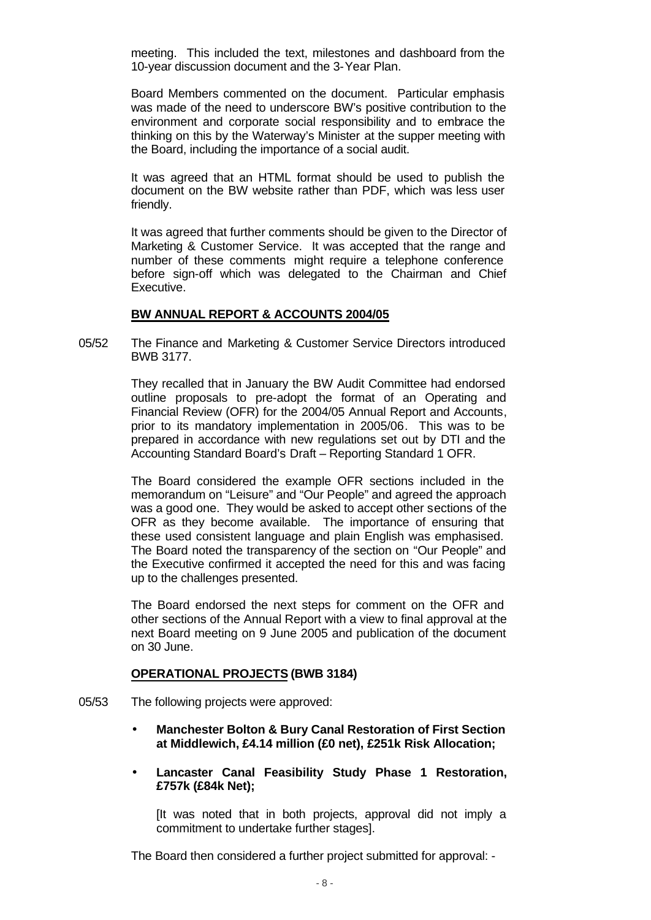meeting. This included the text, milestones and dashboard from the 10-year discussion document and the 3-Year Plan.

Board Members commented on the document. Particular emphasis was made of the need to underscore BW's positive contribution to the environment and corporate social responsibility and to embrace the thinking on this by the Waterway's Minister at the supper meeting with the Board, including the importance of a social audit.

It was agreed that an HTML format should be used to publish the document on the BW website rather than PDF, which was less user friendly.

It was agreed that further comments should be given to the Director of Marketing & Customer Service. It was accepted that the range and number of these comments might require a telephone conference before sign-off which was delegated to the Chairman and Chief Executive.

#### **BW ANNUAL REPORT & ACCOUNTS 2004/05**

05/52 The Finance and Marketing & Customer Service Directors introduced BWB 3177.

> They recalled that in January the BW Audit Committee had endorsed outline proposals to pre-adopt the format of an Operating and Financial Review (OFR) for the 2004/05 Annual Report and Accounts, prior to its mandatory implementation in 2005/06. This was to be prepared in accordance with new regulations set out by DTI and the Accounting Standard Board's Draft – Reporting Standard 1 OFR.

> The Board considered the example OFR sections included in the memorandum on "Leisure" and "Our People" and agreed the approach was a good one. They would be asked to accept other sections of the OFR as they become available. The importance of ensuring that these used consistent language and plain English was emphasised. The Board noted the transparency of the section on "Our People" and the Executive confirmed it accepted the need for this and was facing up to the challenges presented.

> The Board endorsed the next steps for comment on the OFR and other sections of the Annual Report with a view to final approval at the next Board meeting on 9 June 2005 and publication of the document on 30 June.

#### **OPERATIONAL PROJECTS (BWB 3184)**

- 05/53 The following projects were approved:
	- **Manchester Bolton & Bury Canal Restoration of First Section at Middlewich, £4.14 million (£0 net), £251k Risk Allocation;**
	- **Lancaster Canal Feasibility Study Phase 1 Restoration, £757k (£84k Net);**

[It was noted that in both projects, approval did not imply a commitment to undertake further stages].

The Board then considered a further project submitted for approval: -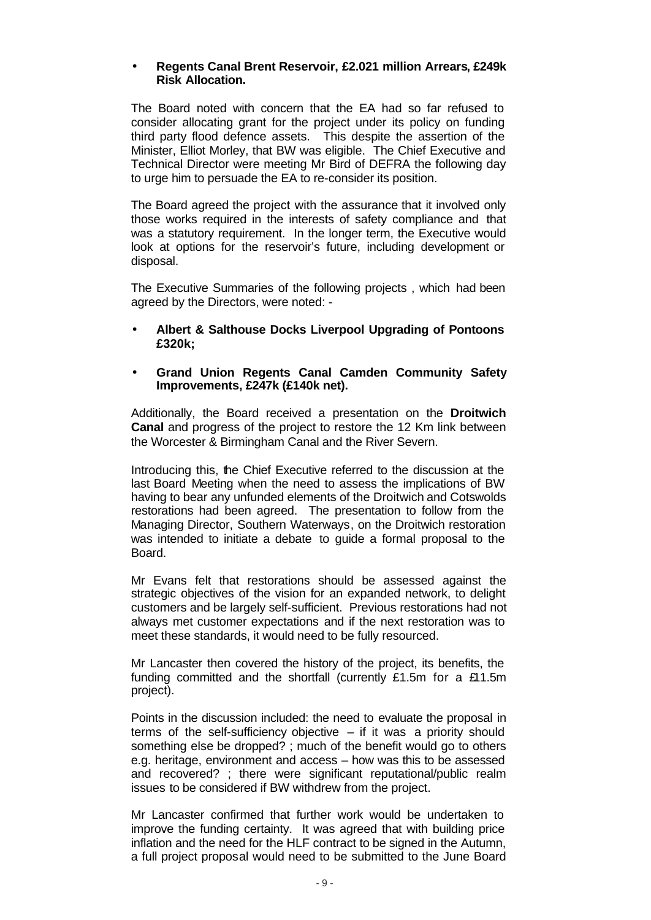### • **Regents Canal Brent Reservoir, £2.021 million Arrears, £249k Risk Allocation.**

The Board noted with concern that the EA had so far refused to consider allocating grant for the project under its policy on funding third party flood defence assets. This despite the assertion of the Minister, Elliot Morley, that BW was eligible. The Chief Executive and Technical Director were meeting Mr Bird of DEFRA the following day to urge him to persuade the EA to re-consider its position.

The Board agreed the project with the assurance that it involved only those works required in the interests of safety compliance and that was a statutory requirement. In the longer term, the Executive would look at options for the reservoir's future, including development or disposal.

The Executive Summaries of the following projects , which had been agreed by the Directors, were noted: -

• **Albert & Salthouse Docks Liverpool Upgrading of Pontoons £320k;**

## • **Grand Union Regents Canal Camden Community Safety Improvements, £247k (£140k net).**

Additionally, the Board received a presentation on the **Droitwich Canal** and progress of the project to restore the 12 Km link between the Worcester & Birmingham Canal and the River Severn.

Introducing this, the Chief Executive referred to the discussion at the last Board Meeting when the need to assess the implications of BW having to bear any unfunded elements of the Droitwich and Cotswolds restorations had been agreed. The presentation to follow from the Managing Director, Southern Waterways, on the Droitwich restoration was intended to initiate a debate to guide a formal proposal to the Board.

Mr Evans felt that restorations should be assessed against the strategic objectives of the vision for an expanded network, to delight customers and be largely self-sufficient. Previous restorations had not always met customer expectations and if the next restoration was to meet these standards, it would need to be fully resourced.

Mr Lancaster then covered the history of the project, its benefits, the funding committed and the shortfall (currently £1.5m for a £11.5m project).

Points in the discussion included: the need to evaluate the proposal in terms of the self-sufficiency objective – if it was a priority should something else be dropped? ; much of the benefit would go to others e.g. heritage, environment and access – how was this to be assessed and recovered? ; there were significant reputational/public realm issues to be considered if BW withdrew from the project.

Mr Lancaster confirmed that further work would be undertaken to improve the funding certainty. It was agreed that with building price inflation and the need for the HLF contract to be signed in the Autumn, a full project proposal would need to be submitted to the June Board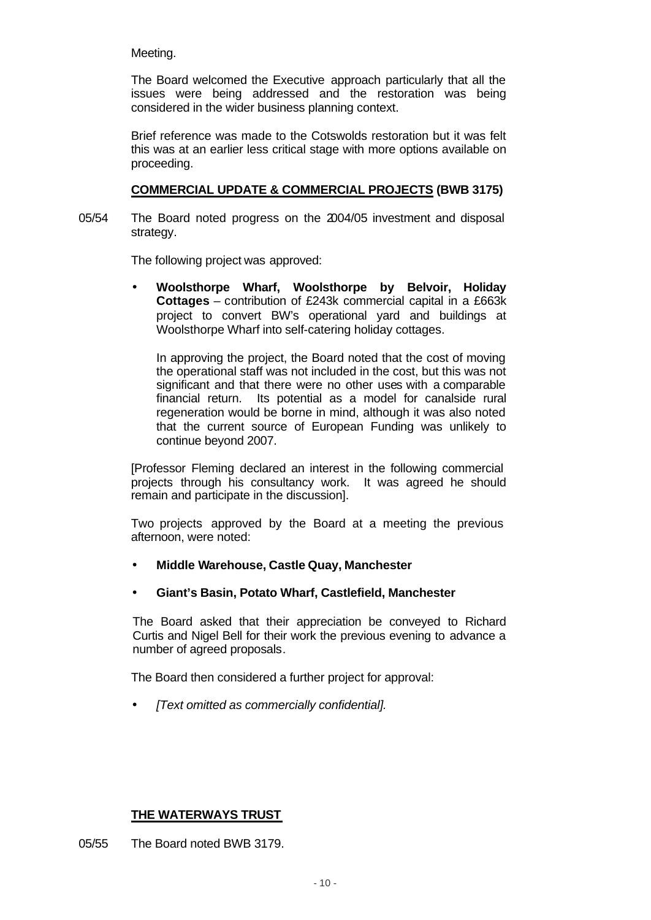## Meeting.

The Board welcomed the Executive approach particularly that all the issues were being addressed and the restoration was being considered in the wider business planning context.

Brief reference was made to the Cotswolds restoration but it was felt this was at an earlier less critical stage with more options available on proceeding.

### **COMMERCIAL UPDATE & COMMERCIAL PROJECTS (BWB 3175)**

05/54 The Board noted progress on the 2004/05 investment and disposal strategy.

The following project was approved:

• **Woolsthorpe Wharf, Woolsthorpe by Belvoir, Holiday Cottages** – contribution of £243k commercial capital in a £663k project to convert BW's operational yard and buildings at Woolsthorpe Wharf into self-catering holiday cottages.

In approving the project, the Board noted that the cost of moving the operational staff was not included in the cost, but this was not significant and that there were no other uses with a comparable financial return. Its potential as a model for canalside rural regeneration would be borne in mind, although it was also noted that the current source of European Funding was unlikely to continue beyond 2007.

[Professor Fleming declared an interest in the following commercial projects through his consultancy work. It was agreed he should remain and participate in the discussion].

Two projects approved by the Board at a meeting the previous afternoon, were noted:

- **Middle Warehouse, Castle Quay, Manchester**
- **Giant's Basin, Potato Wharf, Castlefield, Manchester**

The Board asked that their appreciation be conveyed to Richard Curtis and Nigel Bell for their work the previous evening to advance a number of agreed proposals.

The Board then considered a further project for approval:

• *[Text omitted as commercially confidential].*

# **THE WATERWAYS TRUST**

05/55 The Board noted BWB 3179.